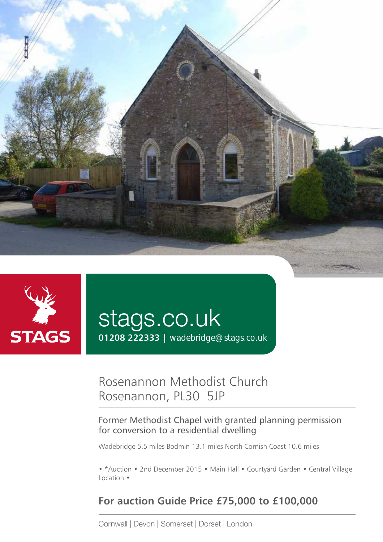



# stags.co.uk

**01208 222333 |** wadebridge@stags.co.uk

## Rosenannon Methodist Church Rosenannon, PL30 5JP

#### Former Methodist Chapel with granted planning permission for conversion to a residential dwelling

Wadebridge 5.5 miles Bodmin 13.1 miles North Cornish Coast 10.6 miles

• \*Auction • 2nd December 2015 • Main Hall • Courtyard Garden • Central Village Location •

### **For auction Guide Price £75,000 to £100,000**

Cornwall | Devon | Somerset | Dorset | London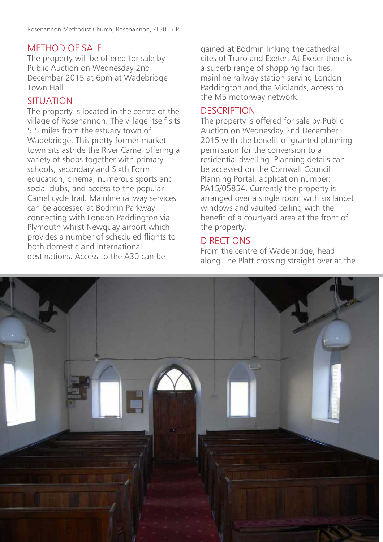#### METHOD OF SALE

The property will be offered for sale by Public Auction on Wednesday 2nd December 2015 at 6pm at Wadebridge Town Hall.

#### SITUATION

The property is located in the centre of the village of Rosenannon. The village itself sits 5.5 miles from the estuary town of Wadebridge. This pretty former market town sits astride the River Camel offering a variety of shops together with primary schools, secondary and Sixth Form education, cinema, numerous sports and social clubs, and access to the popular Camel cycle trail. Mainline railway services can be accessed at Bodmin Parkway connecting with London Paddington via Plymouth whilst Newquay airport which provides a number of scheduled flights to both domestic and international destinations. Access to the A30 can be

gained at Bodmin linking the cathedral cites of Truro and Exeter. At Exeter there is a superb range of shopping facilities, mainline railway station serving London Paddington and the Midlands, access to the M5 motorway network.

#### **DESCRIPTION**

The property is offered for sale by Public Auction on Wednesday 2nd December 2015 with the benefit of granted planning permission for the conversion to a residential dwelling. Planning details can be accessed on the Cornwall Council Planning Portal, application number: PA15/05854. Currently the property is arranged over a single room with six lancet windows and vaulted ceiling with the benefit of a courtyard area at the front of the property.

#### DIRECTIONS

From the centre of Wadebridge, head along The Platt crossing straight over at the

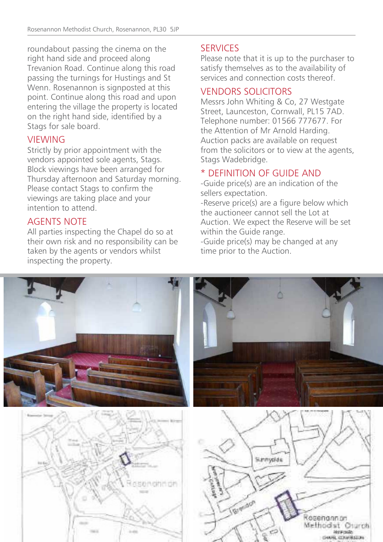roundabout passing the cinema on the right hand side and proceed along Trevanion Road. Continue along this road passing the turnings for Hustings and St Wenn. Rosenannon is signposted at this point. Continue along this road and upon entering the village the property is located on the right hand side, identified by a Stags for sale board.

#### **VIEWING**

Strictly by prior appointment with the vendors appointed sole agents, Stags. Block viewings have been arranged for Thursday afternoon and Saturday morning. Please contact Stags to confirm the viewings are taking place and your intention to attend.

#### AGENTS NOTE

All parties inspecting the Chapel do so at their own risk and no responsibility can be taken by the agents or vendors whilst inspecting the property.

#### **SERVICES**

Please note that it is up to the purchaser to satisfy themselves as to the availability of services and connection costs thereof.

#### VENDORS SOLICITORS

Messrs John Whiting & Co, 27 Westgate Street, Launceston, Cornwall, PL15 7AD. Telephone number: 01566 777677. For the Attention of Mr Arnold Harding. Auction packs are available on request from the solicitors or to view at the agents, Stags Wadebridge.

#### \* DEFINITION OF GUIDE AND

-Guide price(s) are an indication of the sellers expectation.

-Reserve price(s) are a figure below which the auctioneer cannot sell the Lot at Auction. We expect the Reserve will be set within the Guide range.

-Guide price(s) may be changed at any time prior to the Auction.